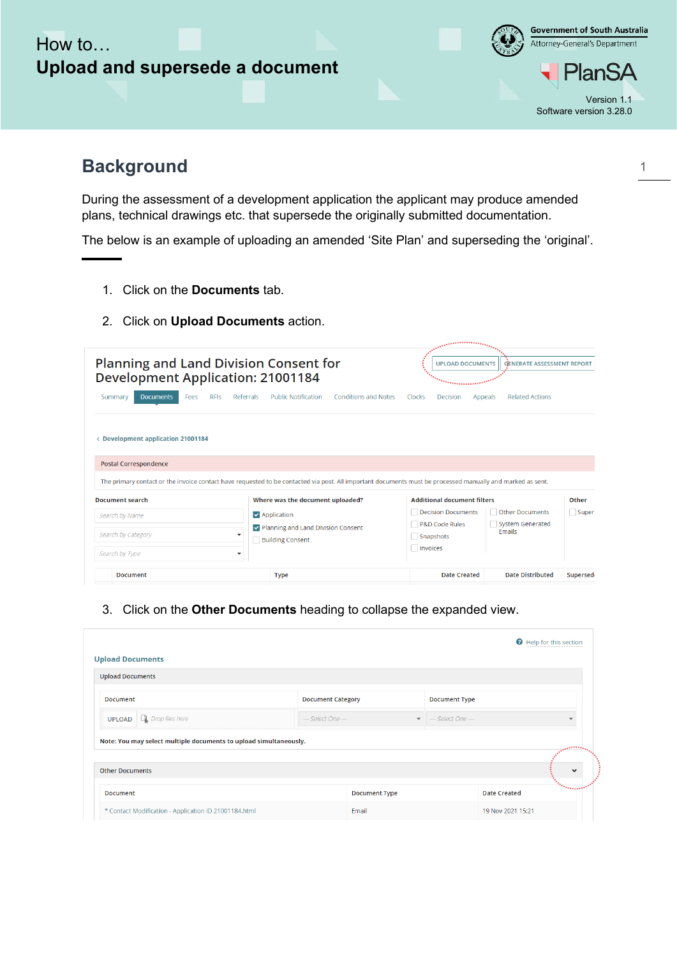## How to… **Upload and supersede a document**



## **Background**

During the assessment of a development application the applicant may produce amended plans, technical drawings etc. that supersede the originally submitted documentation.

The below is an example of uploading an amended 'Site Plan' and superseding the 'original'.

- 1. Click on the **Documents** tab.
- 2. Click on **Upload Documents** action.

| <b>Planning and Land Division Consent for</b><br><b>Development Application: 21001184</b>                                                        |                                                                                                                                                                                                                         | <b>UPLOAD DOCUMENTS</b><br><u> Theodorian and th</u>                                         | <b>GENERATE ASSESSMENT REPORT</b>                                  |                 |
|--------------------------------------------------------------------------------------------------------------------------------------------------|-------------------------------------------------------------------------------------------------------------------------------------------------------------------------------------------------------------------------|----------------------------------------------------------------------------------------------|--------------------------------------------------------------------|-----------------|
| <b>Documents</b><br><b>RFIS</b><br>Referrals<br>Summary<br>Fees<br><b>Development application 21001184</b><br>Ł.<br><b>Postal Correspondence</b> | <b>Public Notification</b><br><b>Conditions and Notes</b><br>The primary contact or the invoice contact have requested to be contacted via post. All important documents must be processed manually and marked as sent. | Clocks<br>Decision                                                                           | <b>Related Actions</b><br>Appeals                                  |                 |
| <b>Document search</b><br>Search by Name                                                                                                         | Where was the document uploaded?<br>$\vee$ Application<br>Department Planning and Land Division Consent                                                                                                                 | <b>Additional document filters</b><br><b>Decision Documents</b><br><b>P&amp;D Code Rules</b> | <b>Other Documents</b><br><b>System Generated</b><br><b>Emails</b> | Other<br>Super: |
| Search by Category<br>Search by Type<br>$\overline{\phantom{a}}$<br><b>Document</b>                                                              | <b>Building Consent</b><br><b>Type</b>                                                                                                                                                                                  | Snapshots<br>Invoices<br><b>Date Created</b>                                                 | <b>Date Distributed</b>                                            | Supersed        |

3. Click on the **Other Documents** heading to collapse the expanded view.

| .<br>$\checkmark$ |
|-------------------|
| <b>Thermaline</b> |
|                   |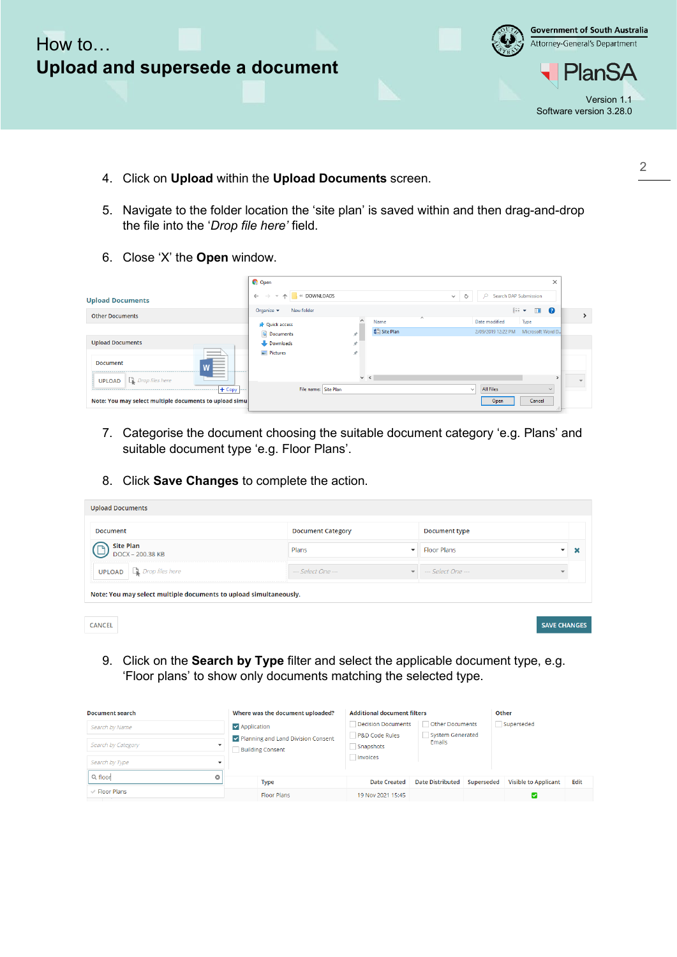

- 4. Click on **Upload** within the **Upload Documents** screen.
- 5. Navigate to the folder location the 'site plan' is saved within and then drag-and-drop the file into the '*Drop file here'* field.
- 6. Close 'X' the **Open** window.

|                                                                                                                                                                                                                                                                                                                                                                                                                                                                                                    | <b>C</b> Open                                                               |                                  | $\times$                                       |
|----------------------------------------------------------------------------------------------------------------------------------------------------------------------------------------------------------------------------------------------------------------------------------------------------------------------------------------------------------------------------------------------------------------------------------------------------------------------------------------------------|-----------------------------------------------------------------------------|----------------------------------|------------------------------------------------|
| <b>Upload Documents</b>                                                                                                                                                                                                                                                                                                                                                                                                                                                                            | <b>EXAMPLE ON STREET S</b><br>$\leftarrow$ $\rightarrow$<br>$\vee$ $\wedge$ |                                  | $O$ Search DAP Submission<br>Ö<br>$\checkmark$ |
| <b>Other Documents</b>                                                                                                                                                                                                                                                                                                                                                                                                                                                                             | Organize $\blacktriangledown$<br>New folder                                 |                                  | 旧 ▼<br>$\blacksquare$                          |
|                                                                                                                                                                                                                                                                                                                                                                                                                                                                                                    | <b>Cuick access</b>                                                         | $\overline{\phantom{a}}$<br>Name | Date modified<br>Type                          |
|                                                                                                                                                                                                                                                                                                                                                                                                                                                                                                    | Documents                                                                   | Site Plan                        | 2/09/2019 12:22 PM Microsoft Word D.           |
| <b>Upload Documents</b>                                                                                                                                                                                                                                                                                                                                                                                                                                                                            | Downloads                                                                   |                                  |                                                |
| $\frac{1}{2} \left( \frac{1}{2} \right) \left( \frac{1}{2} \right) \left( \frac{1}{2} \right) \left( \frac{1}{2} \right) \left( \frac{1}{2} \right) \left( \frac{1}{2} \right) \left( \frac{1}{2} \right) \left( \frac{1}{2} \right) \left( \frac{1}{2} \right) \left( \frac{1}{2} \right) \left( \frac{1}{2} \right) \left( \frac{1}{2} \right) \left( \frac{1}{2} \right) \left( \frac{1}{2} \right) \left( \frac{1}{2} \right) \left( \frac{1}{2} \right) \left( \frac$<br><b>Document</b><br>. | <b>Pictures</b>                                                             | À                                |                                                |
| <b>UPLOAD</b> $\Box$ <i>Drop files here</i>                                                                                                                                                                                                                                                                                                                                                                                                                                                        |                                                                             | $\vee$ <                         |                                                |
| $+$ Copy                                                                                                                                                                                                                                                                                                                                                                                                                                                                                           | File name: Site Plan<br>$- - - -$                                           |                                  | <b>All Files</b><br>$\vee$<br>$\checkmark$     |
| Note: You may select multiple documents to upload simu                                                                                                                                                                                                                                                                                                                                                                                                                                             |                                                                             |                                  | Cancel<br>Open                                 |

- 7. Categorise the document choosing the suitable document category 'e.g. Plans' and suitable document type 'e.g. Floor Plans'.
- 8. Click **Save Changes** to complete the action.

| Document                                                          | <b>Document Category</b>             | <b>Document type</b> |  |
|-------------------------------------------------------------------|--------------------------------------|----------------------|--|
| <b>Site Plan</b><br>DOCX - 200.38 KB                              | Plans<br>$\overline{\phantom{a}}$    | <b>Floor Plans</b>   |  |
| <b>UPLOAD</b> $\Box$ <i>Drop files here</i>                       | $-$ Select One $-$<br>$\mathbf{v}$ . | $=$ Select One $=$   |  |
| Note: You may select multiple documents to upload simultaneously. |                                      |                      |  |

|  | $\cdots$ |  |
|--|----------|--|

**SAVE CHANGES** 

9. Click on the **Search by Type** filter and select the applicable document type, e.g. 'Floor plans' to show only documents matching the selected type.

| <b>Document search</b> |             | Where was the document uploaded?                              | <b>Additional document filters</b> |                                   |            | Other                       |      |
|------------------------|-------------|---------------------------------------------------------------|------------------------------------|-----------------------------------|------------|-----------------------------|------|
| Search by Name         | Application |                                                               | Decision Documents                 | Other Documents                   |            | Superseded                  |      |
| Search by Category     |             | Planning and Land Division Consent<br><b>Building Consent</b> | P&D Code Rules<br>Snapshots        | System Generated<br><b>Emails</b> |            |                             |      |
| Search by Type         |             |                                                               | Invoices                           |                                   |            |                             |      |
| Q floor<br>o           |             |                                                               |                                    |                                   |            |                             |      |
|                        |             | <b>Type</b>                                                   | <b>Date Created</b>                | <b>Date Distributed</b>           | Superseded | <b>Visible to Applicant</b> | Edit |
| $\vee$ Floor Plans     |             | <b>Floor Plans</b>                                            | 19 Nov 2021 15:45                  |                                   |            |                             |      |